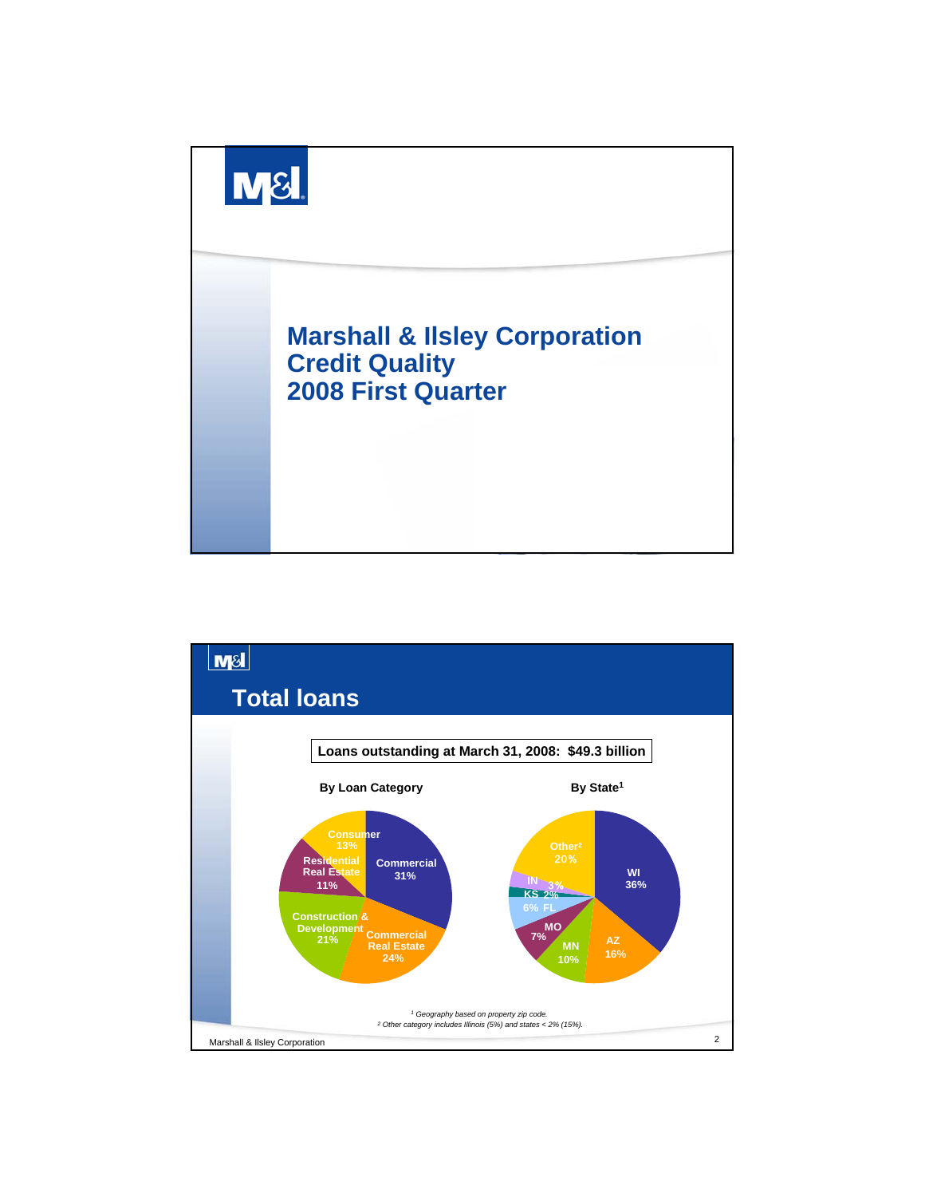

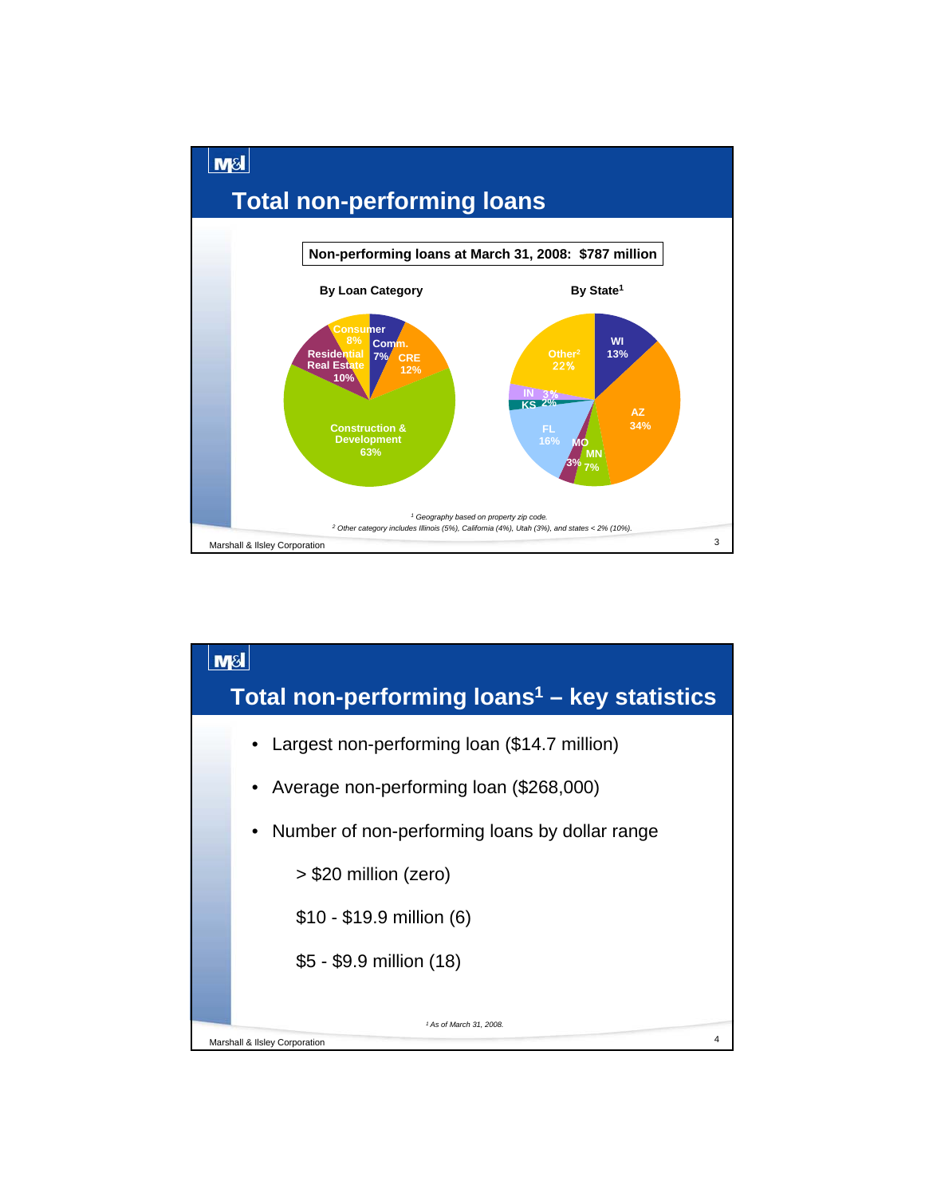

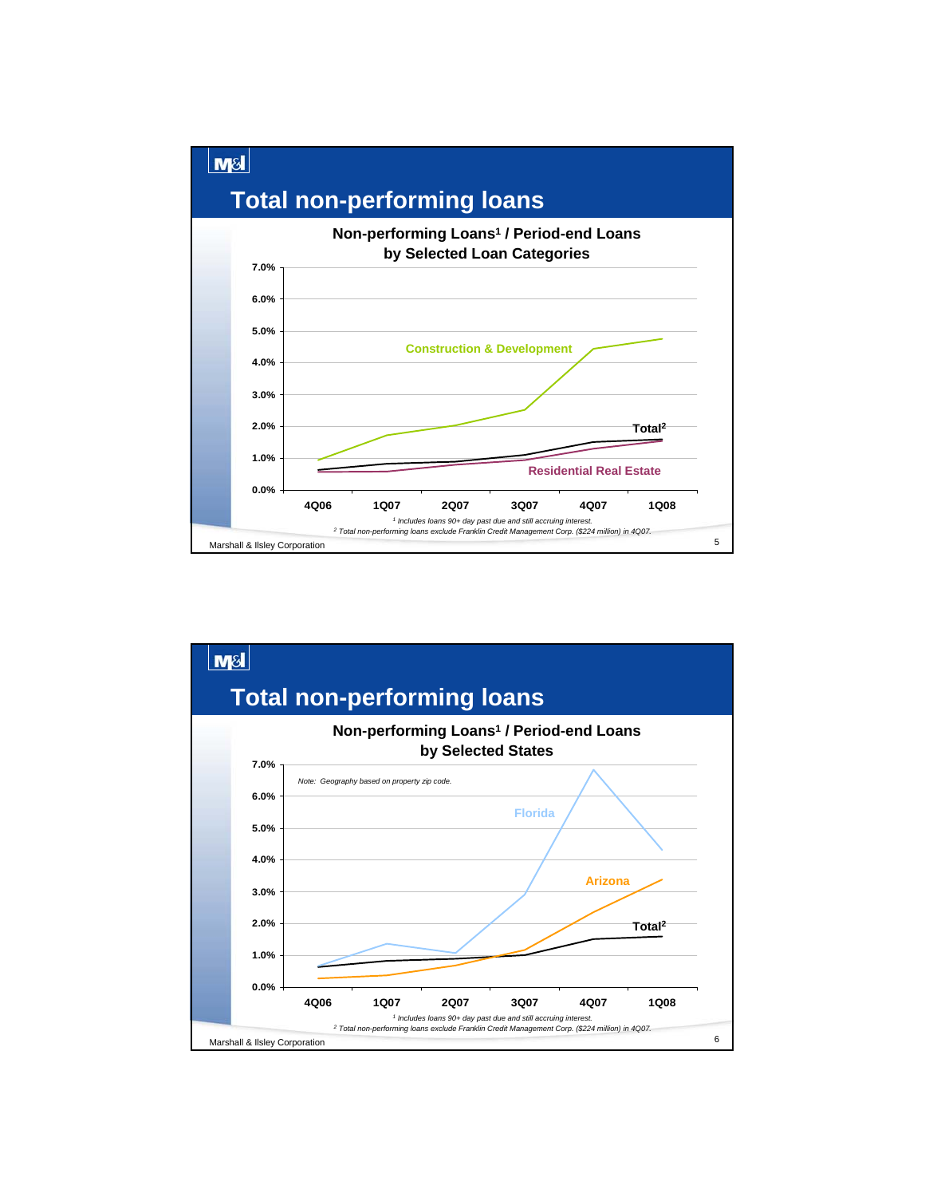

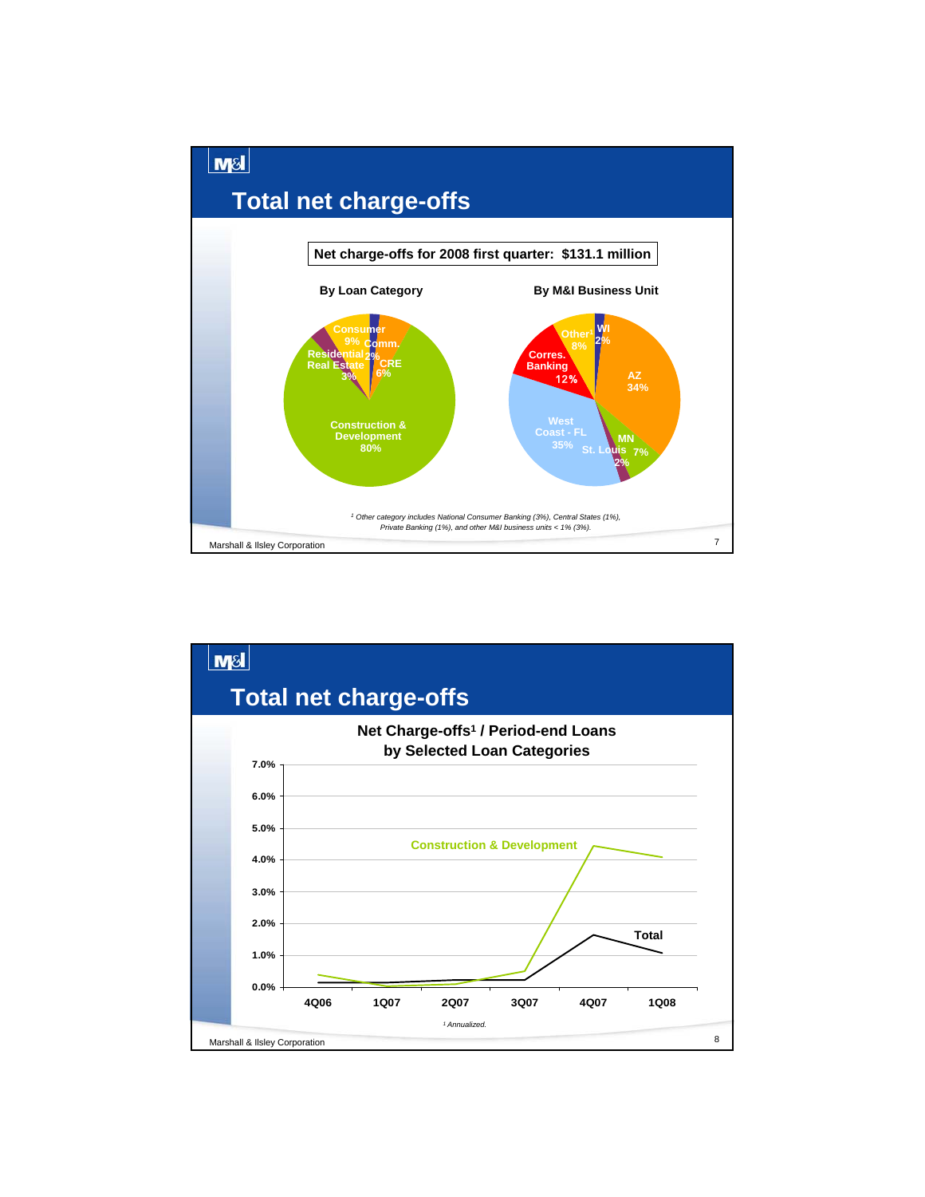

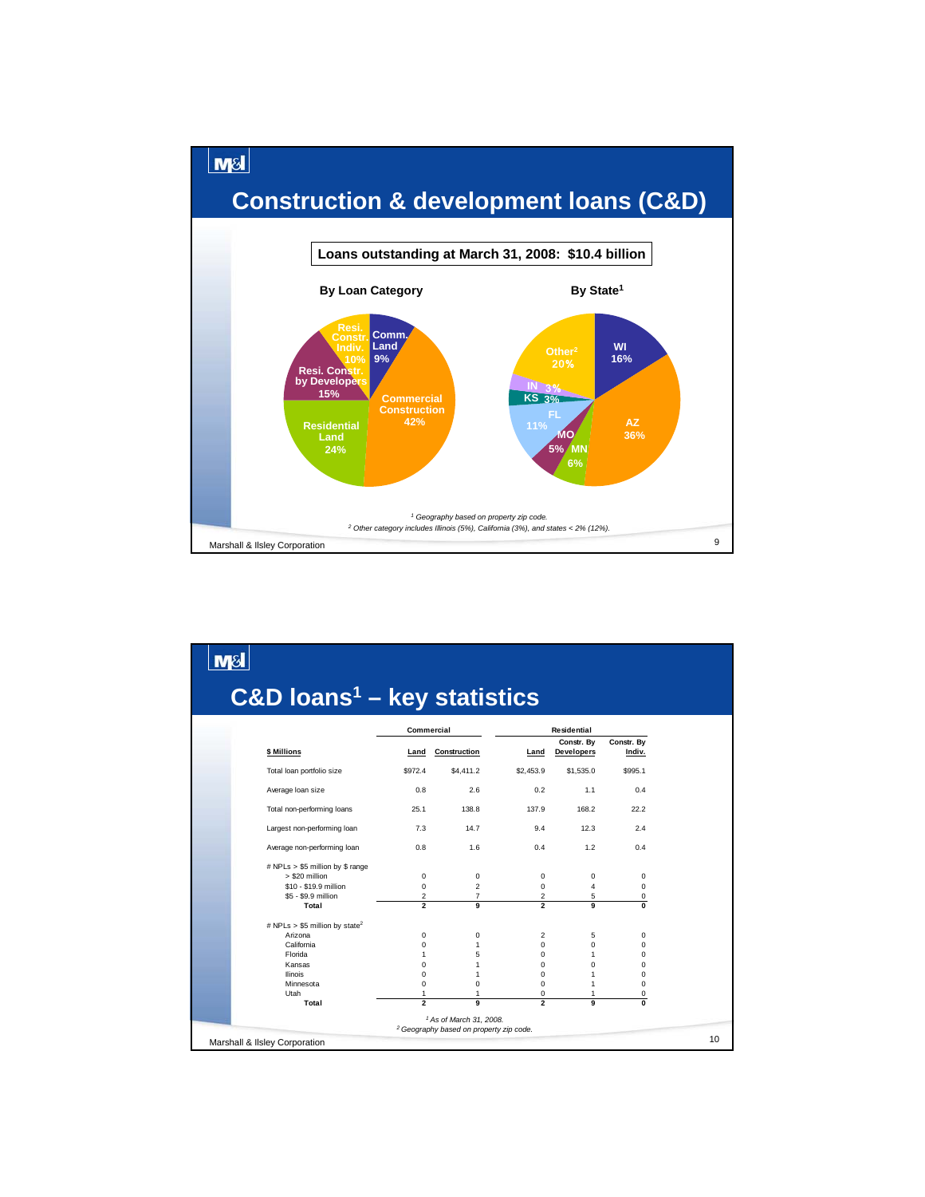

| $C&D$ loans <sup>1</sup> – key statistics                                                                                                |                                                                                                     |                                                                              |                                                                                                          |                                                                                        |                                                           |
|------------------------------------------------------------------------------------------------------------------------------------------|-----------------------------------------------------------------------------------------------------|------------------------------------------------------------------------------|----------------------------------------------------------------------------------------------------------|----------------------------------------------------------------------------------------|-----------------------------------------------------------|
|                                                                                                                                          | Commercial                                                                                          |                                                                              |                                                                                                          |                                                                                        |                                                           |
| \$ Millions                                                                                                                              | Land                                                                                                | Construction                                                                 | Land                                                                                                     | Constr. By<br><b>Developers</b>                                                        | Constr. By<br>Indiv.                                      |
| Total loan portfolio size                                                                                                                | \$972.4                                                                                             | \$4,411.2                                                                    | \$2,453.9                                                                                                | \$1,535.0                                                                              | \$995.1                                                   |
| Average loan size                                                                                                                        | 0.8                                                                                                 | 2.6                                                                          | 0.2                                                                                                      | 1.1                                                                                    | 0.4                                                       |
| Total non-performing loans                                                                                                               | 25.1                                                                                                | 138.8                                                                        | 137.9                                                                                                    | 168.2                                                                                  | 22.2                                                      |
| Largest non-performing loan                                                                                                              | 7.3                                                                                                 | 14.7                                                                         | 9.4                                                                                                      | 12.3                                                                                   | 2.4                                                       |
| Average non-performing loan                                                                                                              | 0.8                                                                                                 | 1.6                                                                          | 0.4                                                                                                      | 1.2                                                                                    | 0.4                                                       |
| # NPLs > \$5 million by \$ range<br>> \$20 million<br>\$10 - \$19.9 million<br>\$5 - \$9.9 million                                       | 0<br>0<br>2                                                                                         | 0<br>2<br>$\overline{7}$                                                     | 0<br>$\mathbf 0$<br>$\overline{2}$                                                                       | 0<br>4<br>5                                                                            | 0<br>0<br>0                                               |
| Total                                                                                                                                    | $\overline{2}$                                                                                      | 9                                                                            | $\overline{2}$                                                                                           | 9                                                                                      | 0                                                         |
| # NPLs > \$5 million by state <sup>2</sup><br>Arizona<br>California<br>Florida<br>Kansas<br><b>Ilinois</b><br>Minnesota<br>Utah<br>Total | 0<br>$\Omega$<br>$\mathbf{1}$<br>$\Omega$<br>$\Omega$<br>$\Omega$<br>$\mathbf{1}$<br>$\overline{2}$ | 0<br>$\mathbf{1}$<br>5<br>$\mathbf{1}$<br>1<br>$\Omega$<br>1<br>$\mathbf{Q}$ | 2<br>$\Omega$<br>$\Omega$<br>$\Omega$<br>$\Omega$<br>$\Omega$<br>$\mathbf 0$<br>$\overline{\phantom{a}}$ | 5<br>$\mathbf 0$<br>$\mathbf{1}$<br>$\Omega$<br>1<br>$\mathbf{1}$<br>1<br>$\mathbf{Q}$ | 0<br>0<br>$\Omega$<br>0<br>$\Omega$<br>$\Omega$<br>0<br>0 |
|                                                                                                                                          |                                                                                                     | <sup>1</sup> As of March 31, 2008.                                           |                                                                                                          |                                                                                        |                                                           |
| Marshall & Ilsley Corporation                                                                                                            |                                                                                                     | <sup>2</sup> Geography based on property zip code.                           |                                                                                                          |                                                                                        |                                                           |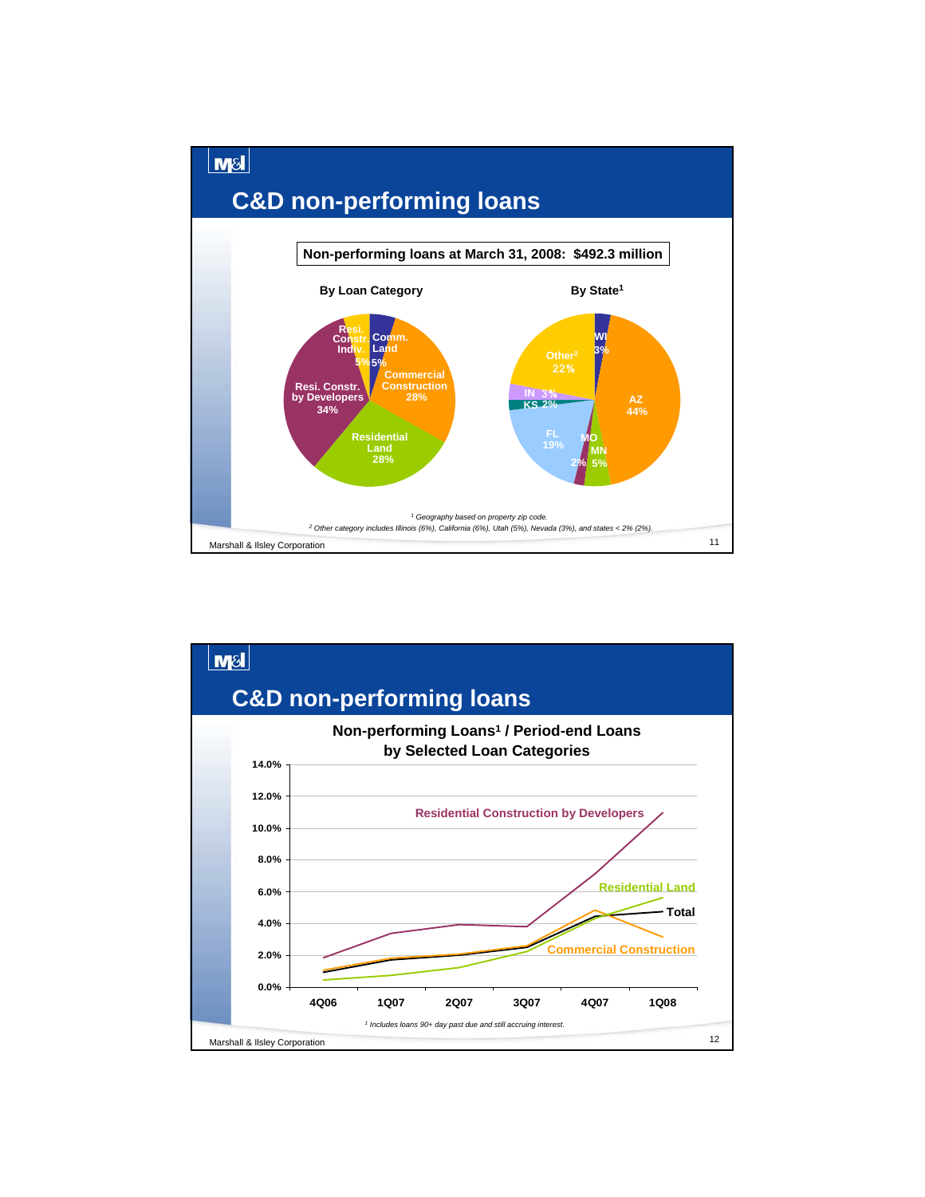

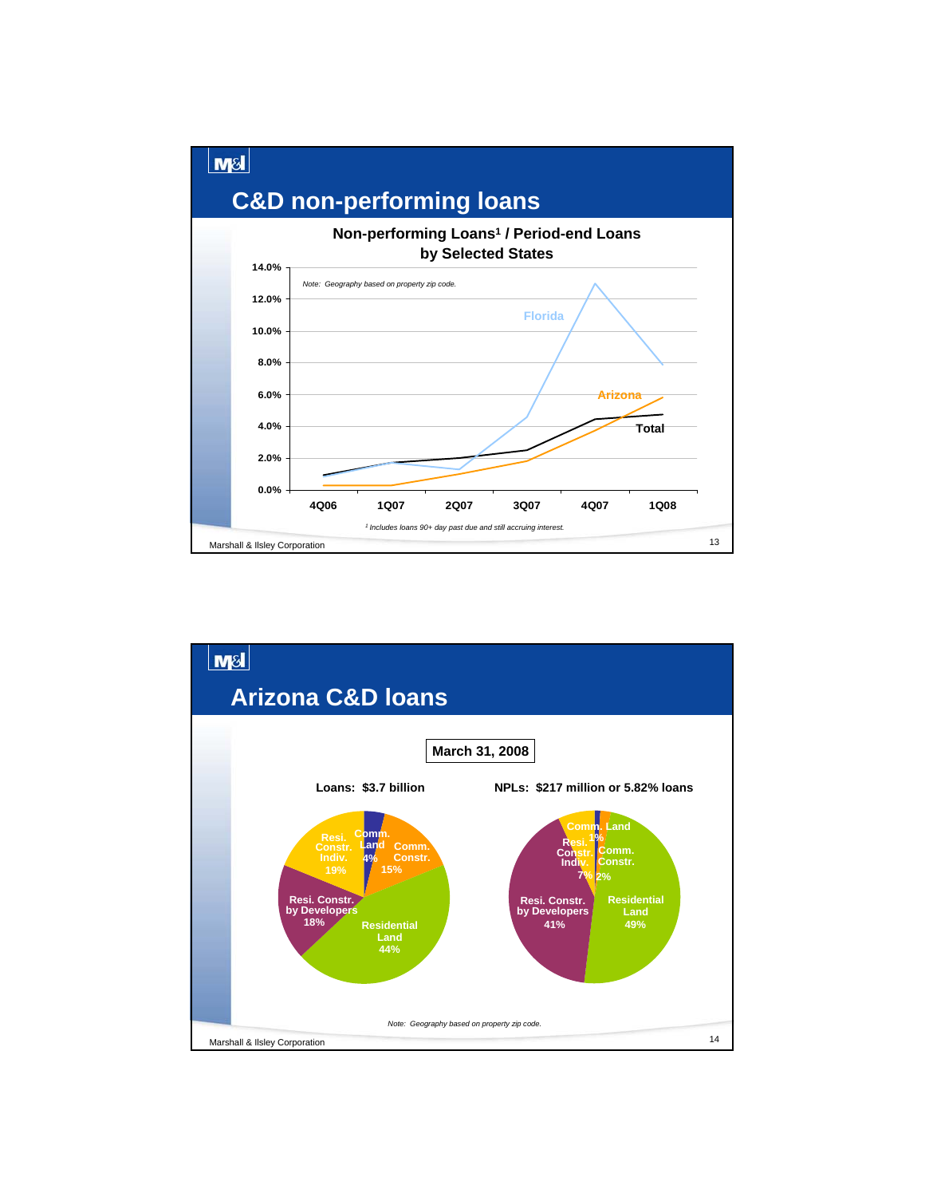

![](_page_6_Figure_1.jpeg)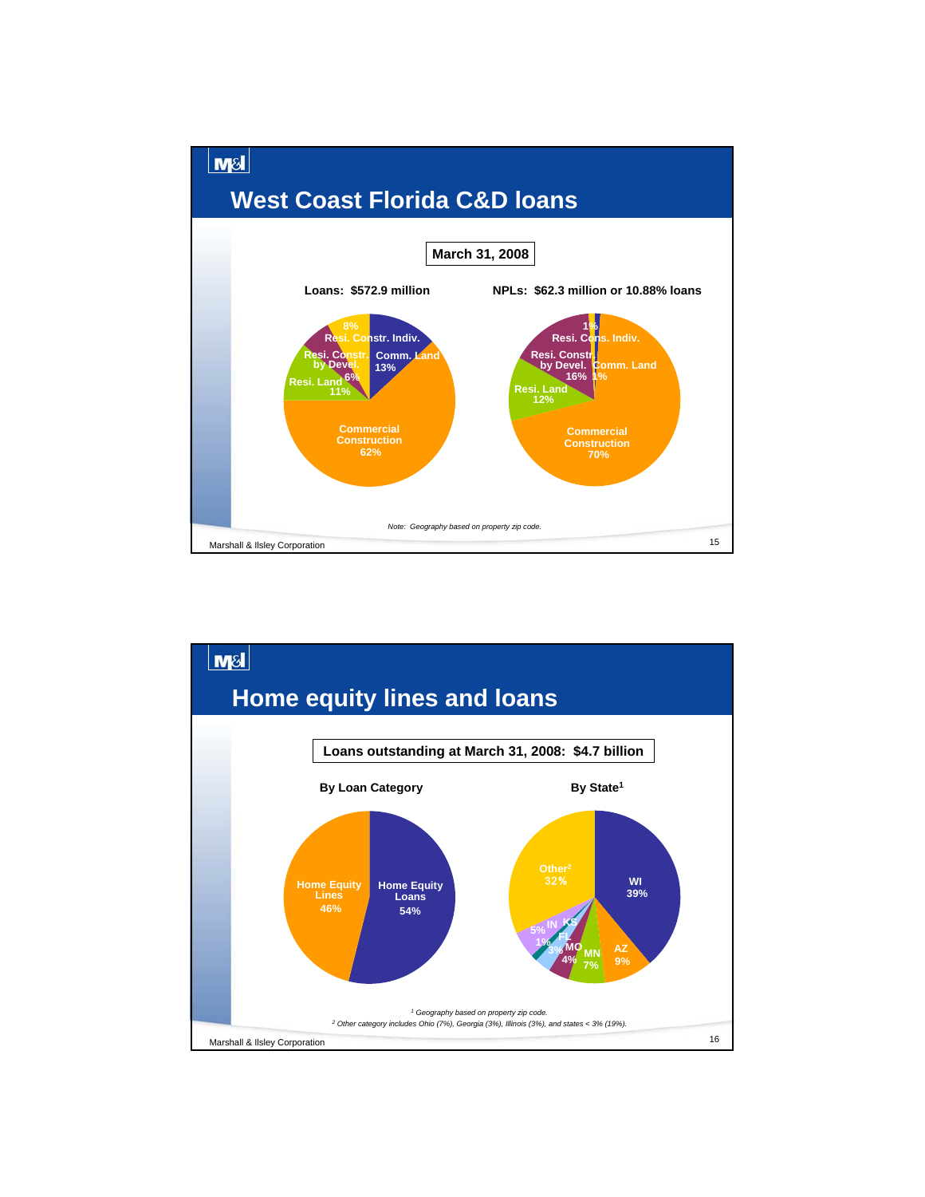![](_page_7_Figure_0.jpeg)

![](_page_7_Figure_1.jpeg)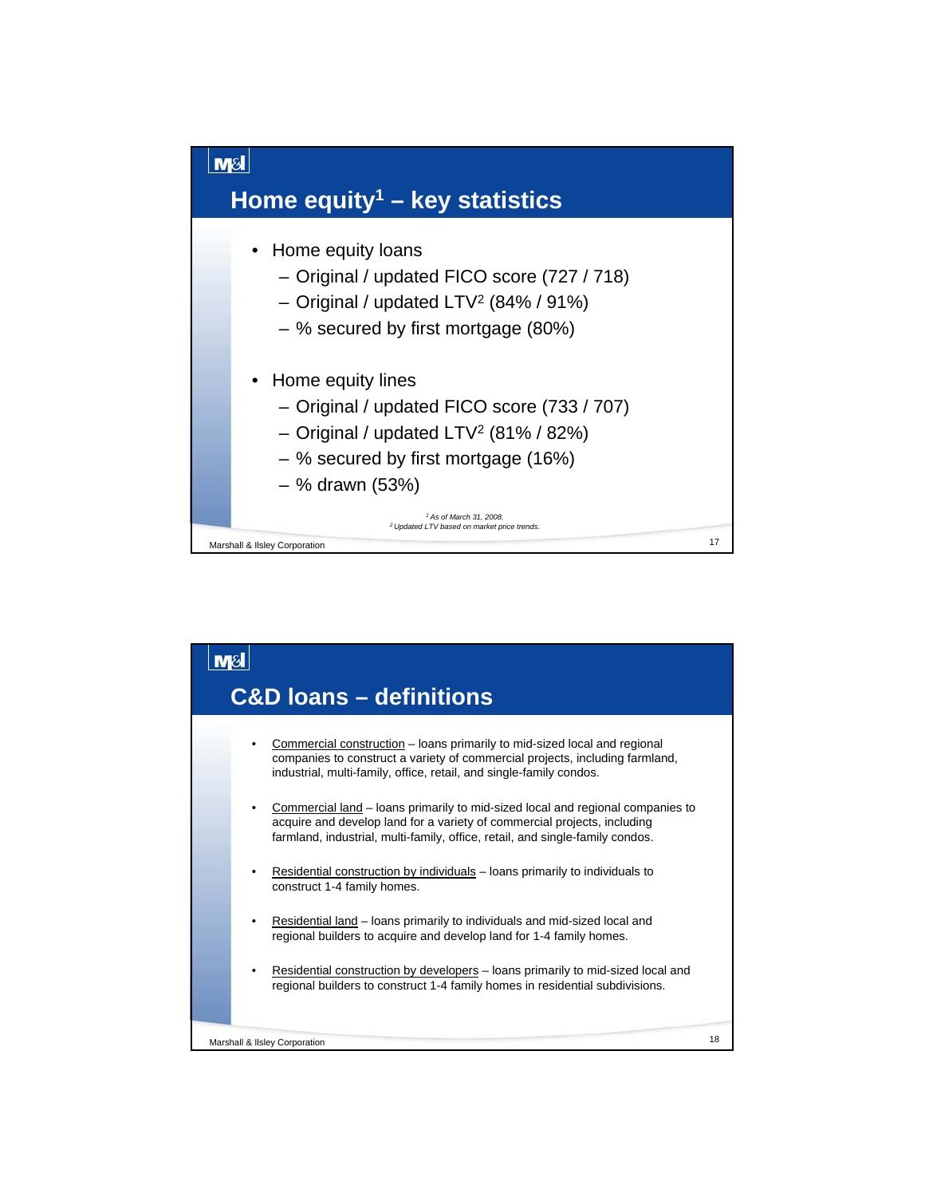![](_page_8_Figure_0.jpeg)

![](_page_8_Figure_1.jpeg)